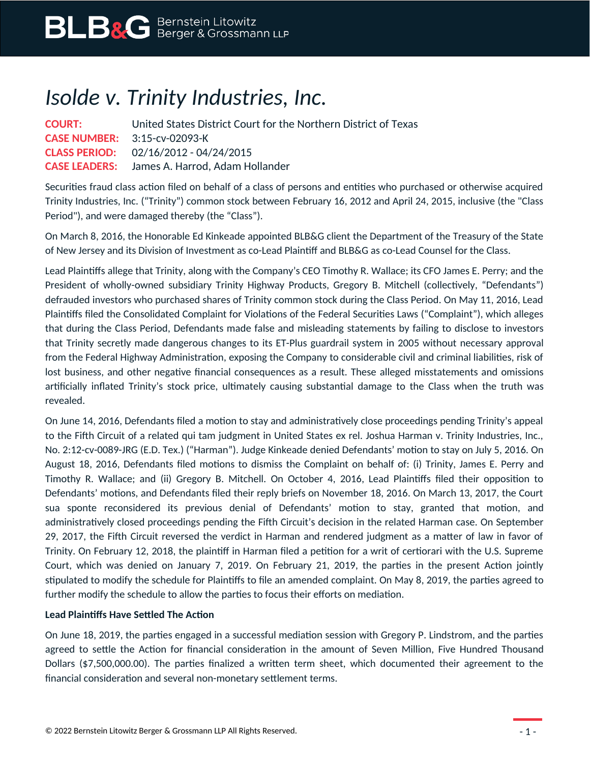## *Isolde v. Trinity Industries, Inc.*

| <b>COURT:</b>                          | United States District Court for the Northern District of Texas |
|----------------------------------------|-----------------------------------------------------------------|
| <b>CASE NUMBER:</b> $3:15$ -cv-02093-K |                                                                 |
|                                        | <b>CLASS PERIOD:</b> 02/16/2012 - 04/24/2015                    |
|                                        | <b>CASE LEADERS:</b> James A. Harrod, Adam Hollander            |

Securities fraud class action filed on behalf of a class of persons and entities who purchased or otherwise acquired Trinity Industries, Inc. ("Trinity") common stock between February 16, 2012 and April 24, 2015, inclusive (the "Class Period"), and were damaged thereby (the "Class").

On March 8, 2016, the Honorable Ed Kinkeade appointed BLB&G client the Department of the Treasury of the State of New Jersey and its Division of Investment as co-Lead Plaintiff and BLB&G as co-Lead Counsel for the Class.

Lead Plaintiffs allege that Trinity, along with the Company's CEO Timothy R. Wallace; its CFO James E. Perry; and the President of wholly-owned subsidiary Trinity Highway Products, Gregory B. Mitchell (collectively, "Defendants") defrauded investors who purchased shares of Trinity common stock during the Class Period. On May 11, 2016, Lead Plaintiffs filed the Consolidated Complaint for Violations of the Federal Securities Laws ("Complaint"), which alleges that during the Class Period, Defendants made false and misleading statements by failing to disclose to investors that Trinity secretly made dangerous changes to its ET-Plus guardrail system in 2005 without necessary approval from the Federal Highway Administration, exposing the Company to considerable civil and criminal liabilities, risk of lost business, and other negative financial consequences as a result. These alleged misstatements and omissions artificially inflated Trinity's stock price, ultimately causing substantial damage to the Class when the truth was revealed.

On June 14, 2016, Defendants filed a motion to stay and administratively close proceedings pending Trinity's appeal to the Fifth Circuit of a related qui tam judgment in United States ex rel. Joshua Harman v. Trinity Industries, Inc., No. 2:12-cv-0089-JRG (E.D. Tex.) ("Harman"). Judge Kinkeade denied Defendants' motion to stay on July 5, 2016. On August 18, 2016, Defendants filed motions to dismiss the Complaint on behalf of: (i) Trinity, James E. Perry and Timothy R. Wallace; and (ii) Gregory B. Mitchell. On October 4, 2016, Lead Plaintiffs filed their opposition to Defendants' motions, and Defendants filed their reply briefs on November 18, 2016. On March 13, 2017, the Court sua sponte reconsidered its previous denial of Defendants' motion to stay, granted that motion, and administratively closed proceedings pending the Fifth Circuit's decision in the related Harman case. On September 29, 2017, the Fifth Circuit reversed the verdict in Harman and rendered judgment as a matter of law in favor of Trinity. On February 12, 2018, the plaintiff in Harman filed a petition for a writ of certiorari with the U.S. Supreme Court, which was denied on January 7, 2019. On February 21, 2019, the parties in the present Action jointly stipulated to modify the schedule for Plaintiffs to file an amended complaint. On May 8, 2019, the parties agreed to further modify the schedule to allow the parties to focus their efforts on mediation.

## **Lead Plaintiffs Have Settled The Action**

On June 18, 2019, the parties engaged in a successful mediation session with Gregory P. Lindstrom, and the parties agreed to settle the Action for financial consideration in the amount of Seven Million, Five Hundred Thousand Dollars (\$7,500,000.00). The parties finalized a written term sheet, which documented their agreement to the financial consideration and several non-monetary settlement terms.